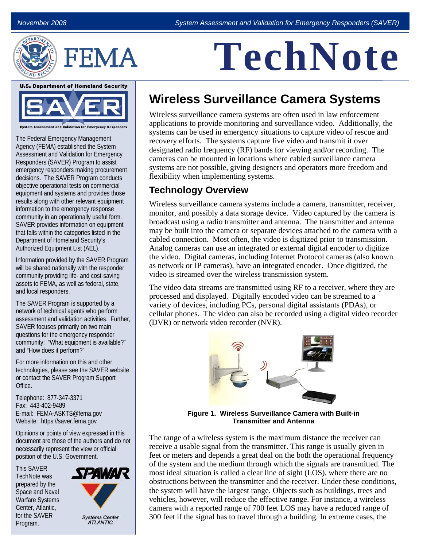



# **TechNote**

**U.S. Department of Homeland Security** 



The Federal Emergency Management Agency (FEMA) established the System Assessment and Validation for Emergency Responders (SAVER) Program to assist emergency responders making procurement decisions. The SAVER Program conducts objective operational tests on commercial equipment and systems and provides those results along with other relevant equipment information to the emergency response community in an operationally useful form. SAVER provides information on equipment that falls within the categories listed in the Department of Homeland Security's Authorized Equipment List (AEL).

Information provided by the SAVER Program will be shared nationally with the responder community providing life- and cost-saving assets to FEMA, as well as federal, state, and local responders.

The SAVER Program is supported by a network of technical agents who perform assessment and validation activities. Further, SAVER focuses primarily on two main questions for the emergency responder community: "What equipment is available?" and "How does it perform?"

For more information on this and other technologies, please see the SAVER website or contact the SAVER Program Support Office.

Telephone: 877-347-3371 Fax: 443-402-9489 E-mail: FEMA-ASKTS@fema.gov Website: https://saver.fema.gov

Opinions or points of view expressed in this document are those of the authors and do not necessarily represent the view or official position of the U.S. Government.

This SAVER TechNote was prepared by the Space and Naval Warfare Systems Center, Atlantic, for the SAVER Program.



## **Wireless Surveillance Camera Systems**

Wireless surveillance camera systems are often used in law enforcement applications to provide monitoring and surveillance video. Additionally, the systems can be used in emergency situations to capture video of rescue and recovery efforts. The systems capture live video and transmit it over designated radio frequency (RF) bands for viewing and/or recording. The cameras can be mounted in locations where cabled surveillance camera systems are not possible, giving designers and operators more freedom and flexibility when implementing systems.

#### **Technology Overview**

Wireless surveillance camera systems include a camera, transmitter, receiver, monitor, and possibly a data storage device. Video captured by the camera is broadcast using a radio transmitter and antenna. The transmitter and antenna may be built into the camera or separate devices attached to the camera with a cabled connection. Most often, the video is digitized prior to transmission. Analog cameras can use an integrated or external digital encoder to digitize the video. Digital cameras, including Internet Protocol cameras (also known as network or IP cameras), have an integrated encoder. Once digitized, the video is streamed over the wireless transmission system.

The video data streams are transmitted using RF to a receiver, where they are processed and displayed. Digitally encoded video can be streamed to a variety of devices, including PCs, personal digital assistants (PDAs), or cellular phones. The video can also be recorded using a digital video recorder (DVR) or network video recorder (NVR).



**Figure 1. Wireless Surveillance Camera with Built-in Transmitter and Antenna**

The range of a wireless system is the maximum distance the receiver can receive a usable signal from the transmitter. This range is usually given in feet or meters and depends a great deal on the both the operational frequency of the system and the medium through which the signals are transmitted. The most ideal situation is called a clear line of sight (LOS), where there are no obstructions between the transmitter and the receiver. Under these conditions, the system will have the largest range. Objects such as buildings, trees and vehicles, however, will reduce the effective range. For instance, a wireless camera with a reported range of 700 feet LOS may have a reduced range of 300 feet if the signal has to travel through a building. In extreme cases, the